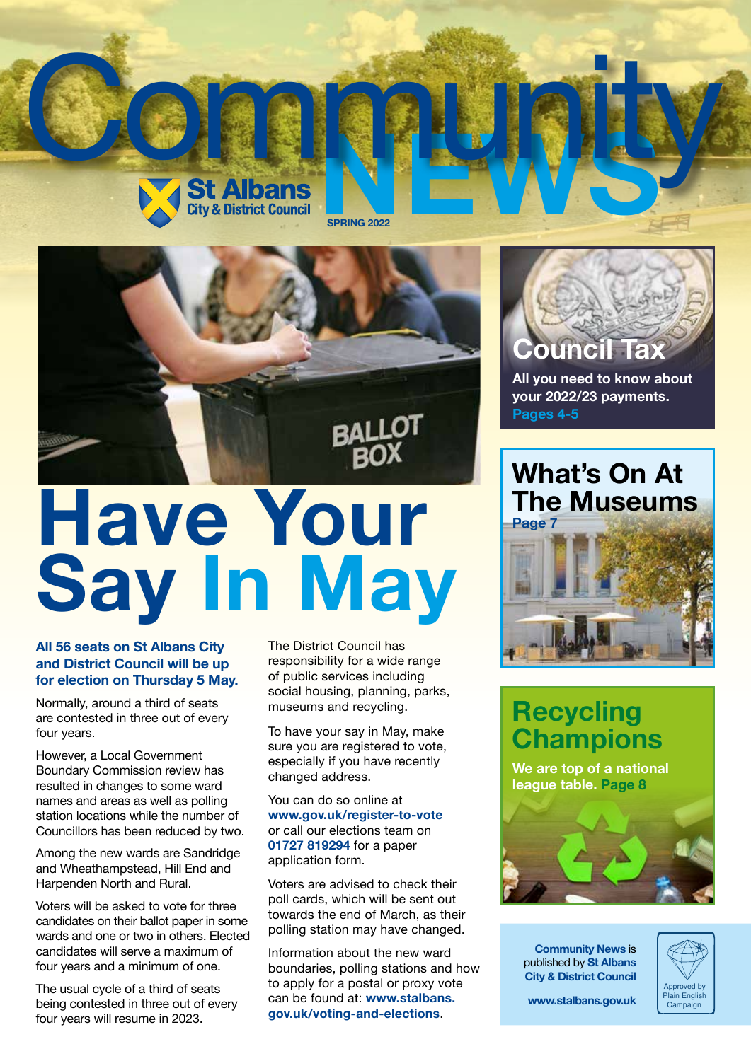



# **Have Your Say In May**

#### **All 56 seats on St Albans City and District Council will be up for election on Thursday 5 May.**

Normally, around a third of seats are contested in three out of every four years.

However, a Local Government Boundary Commission review has resulted in changes to some ward names and areas as well as polling station locations while the number of Councillors has been reduced by two.

Among the new wards are Sandridge and Wheathampstead, Hill End and Harpenden North and Rural.

Voters will be asked to vote for three candidates on their ballot paper in some wards and one or two in others. Elected candidates will serve a maximum of four years and a minimum of one.

The usual cycle of a third of seats being contested in three out of every four years will resume in 2023.

The District Council has responsibility for a wide range of public services including social housing, planning, parks, museums and recycling.

To have your say in May, make sure you are registered to vote, especially if you have recently changed address.

You can do so online at **www.gov.uk/register-to-vote** or call our elections team on **01727 819294** for a paper application form.

Voters are advised to check their poll cards, which will be sent out towards the end of March, as their polling station may have changed.

Information about the new ward boundaries, polling stations and how to apply for a postal or proxy vote can be found at: **www.stalbans. gov.uk/voting-and-elections**.



**All you need to know about your 2022/23 payments. Pages 4-5**

**What's On At The Museums Page 7**



## **Recycling Champions**

**We are top of a national league table. Page 8**



**Community News** is published by **St Albans City & District Council**



**www.stalbans.gov.uk**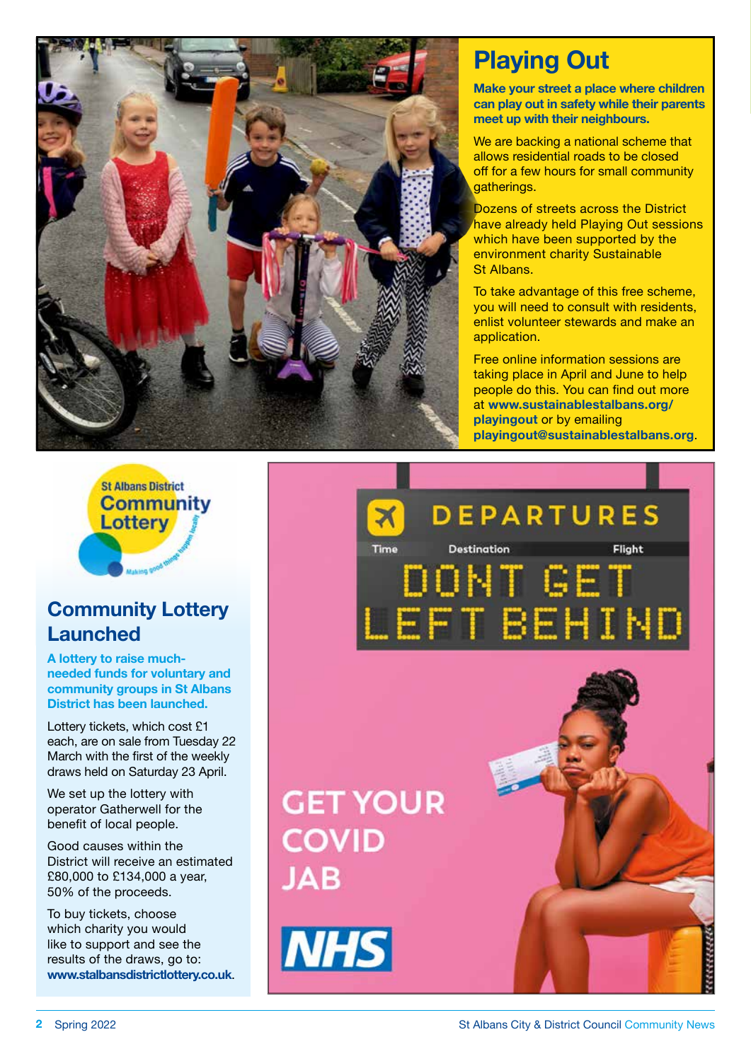

## **Playing Out**

**Make your street a place where children can play out in safety while their parents meet up with their neighbours.**

We are backing a national scheme that allows residential roads to be closed off for a few hours for small community aatherings.

Dozens of streets across the District have already held Playing Out sessions which have been supported by the environment charity Sustainable St Albans.

To take advantage of this free scheme, you will need to consult with residents, enlist volunteer stewards and make an application.

Free online information sessions are taking place in April and June to help people do this. You can find out more at **www.sustainablestalbans.org/ playingout** or by emailing **playingout@sustainablestalbans.org**.



### **Community Lottery Launched**

**A lottery to raise muchneeded funds for voluntary and community groups in St Albans District has been launched.**

Lottery tickets, which cost £1 each, are on sale from Tuesday 22 March with the first of the weekly draws held on Saturday 23 April.

We set up the lottery with operator Gatherwell for the benefit of local people.

Good causes within the District will receive an estimated £80,000 to £134,000 a year, 50% of the proceeds.

To buy tickets, choose which charity you would like to support and see the results of the draws, go to: **www.stalbansdistrictlottery.co.uk**.

**DEPARTURES** Time **Destination** Flight ONT GET FT BEHIND

## **GET YOUR COVID JAB**

**NHS** 

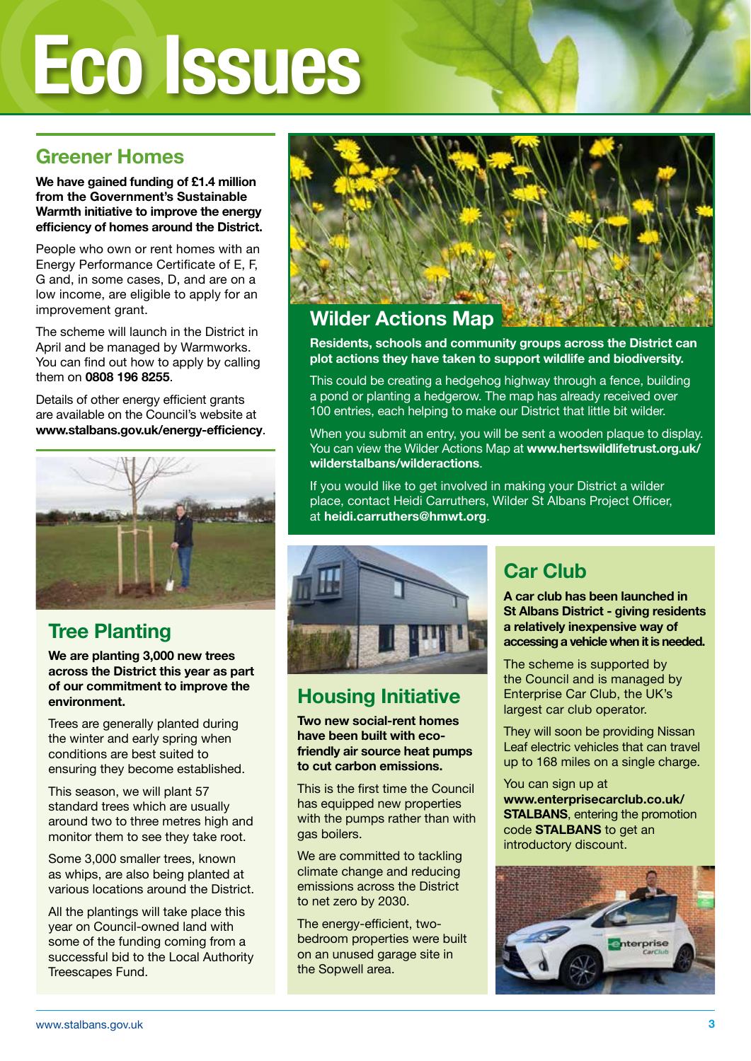# **Eco Issues**

### **Greener Homes**

**We have gained funding of £1.4 million from the Government's Sustainable Warmth initiative to improve the energy efficiency of homes around the District.**

People who own or rent homes with an Energy Performance Certificate of E, F, G and, in some cases, D, and are on a low income, are eligible to apply for an improvement grant.

The scheme will launch in the District in April and be managed by Warmworks. You can find out how to apply by calling them on **0808 196 8255**.

Details of other energy efficient grants are available on the Council's website at **www.stalbans.gov.uk/energy-efficiency**.



### **Tree Planting**

**We are planting 3,000 new trees across the District this year as part of our commitment to improve the environment.**

Trees are generally planted during the winter and early spring when conditions are best suited to ensuring they become established.

This season, we will plant 57 standard trees which are usually around two to three metres high and monitor them to see they take root.

Some 3,000 smaller trees, known as whips, are also being planted at various locations around the District.

All the plantings will take place this year on Council-owned land with some of the funding coming from a successful bid to the Local Authority Treescapes Fund.



### **Wilder Actions Map**

**Residents, schools and community groups across the District can plot actions they have taken to support wildlife and biodiversity.** 

This could be creating a hedgehog highway through a fence, building a pond or planting a hedgerow. The map has already received over 100 entries, each helping to make our District that little bit wilder.

When you submit an entry, you will be sent a wooden plaque to display. You can view the Wilder Actions Map at **www.hertswildlifetrust.org.uk/ wilderstalbans/wilderactions**.

If you would like to get involved in making your District a wilder place, contact Heidi Carruthers, Wilder St Albans Project Officer, at **heidi.carruthers@hmwt.org**.



### **Housing Initiative**

**Two new social-rent homes have been built with ecofriendly air source heat pumps to cut carbon emissions.**

This is the first time the Council has equipped new properties with the pumps rather than with gas boilers.

We are committed to tackling climate change and reducing emissions across the District to net zero by 2030.

The energy-efficient, twobedroom properties were built on an unused garage site in the Sopwell area.

## **Car Club**

**A car club has been launched in St Albans District - giving residents a relatively inexpensive way of accessing a vehicle when it is needed.**

The scheme is supported by the Council and is managed by Enterprise Car Club, the UK's largest car club operator.

They will soon be providing Nissan Leaf electric vehicles that can travel up to 168 miles on a single charge.

You can sign up at **www.enterprisecarclub.co.uk/ STALBANS**, entering the promotion code **STALBANS** to get an introductory discount.

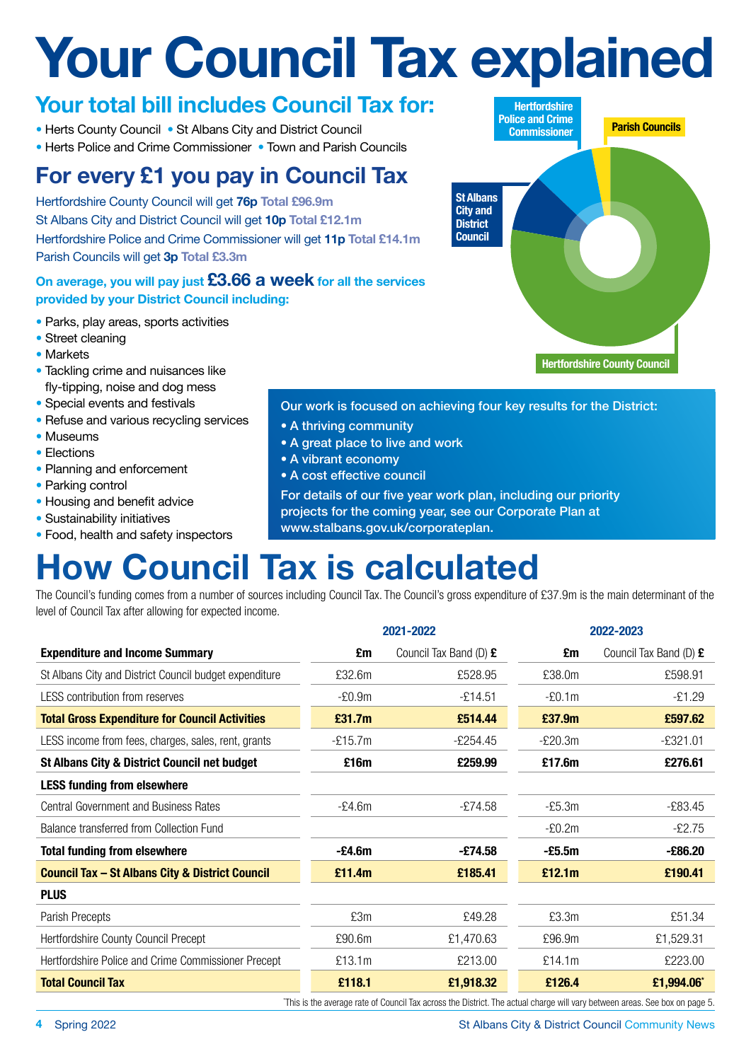## **Your Council Tax explained**

### **Your total bill includes Council Tax for:**

- Herts County Council St Albans City and District Council
- Herts Police and Crime Commissioner Town and Parish Councils

## **For every £1 you pay in Council Tax**

Hertfordshire County Council will get **76p Total £96.9m** St Albans City and District Council will get **10p Total £12.1m** Hertfordshire Police and Crime Commissioner will get **11p Total £14.1m** Parish Councils will get **3p Total £3.3m**

### **On average, you will pay just £3.66 a week for all the services provided by your District Council including:**

- Parks, play areas, sports activities
- Street cleaning
- Markets
- Tackling crime and nuisances like fly-tipping, noise and dog mess
- Special events and festivals
- Refuse and various recycling services
- Museums
- Elections
- Planning and enforcement
- Parking control
- Housing and benefit advice
- Sustainability initiatives
- Food, health and safety inspectors

### Our work is focused on achieving four key results for the District:

- A thriving community
- A great place to live and work
- A vibrant economy
- A cost effective council

For details of our five year work plan, including our priority projects for the coming year, see our Corporate Plan at

www.stalbans.gov.uk/corporateplan.

## **How Council Tax is calculated**

The Council's funding comes from a number of sources including Council Tax. The Council's gross expenditure of £37.9m is the main determinant of the level of Council Tax after allowing for expected income.

|           |                        | 2022-2023 |                        |
|-----------|------------------------|-----------|------------------------|
| £m        | Council Tax Band (D) £ | £m        | Council Tax Band (D) £ |
| £32.6m    | £528.95                | £38.0m    | £598.91                |
| $-E0.9m$  | $-£14.51$              | $-E0.1m$  | $-£1.29$               |
| £31.7m    | £514.44                | £37.9m    | £597.62                |
| $-£15.7m$ | $-£254.45$             | $-E20.3m$ | $-£321.01$             |
| £16m      | £259.99                | £17.6m    | £276.61                |
|           |                        |           |                        |
| $-E4.6m$  | $-£74.58$              | $-E5.3m$  | $-£83.45$              |
|           |                        | $-E0.2m$  | $-£2.75$               |
| -£4.6m    | -£74.58                | $-E5.5m$  | $-£86.20$              |
| £11.4m    | £185.41                | £12.1m    | £190.41                |
|           |                        |           |                        |
| £3m       | £49.28                 | £3.3m     | £51.34                 |
| £90.6m    | £1,470.63              | £96.9m    | £1,529.31              |
| £13.1m    | £213.00                | £14.1m    | £223.00                |
| £118.1    | £1,918.32              | £126.4    | £1,994.06*             |
|           |                        | 2021-2022 |                        |

This is the average rate of Council Tax across the District. The actual charge will vary between areas. See box on page 5.

**Hertfordshire Police and Crime Commissioner Parish Councils St Albans City and District Council Hertfordshire County Council**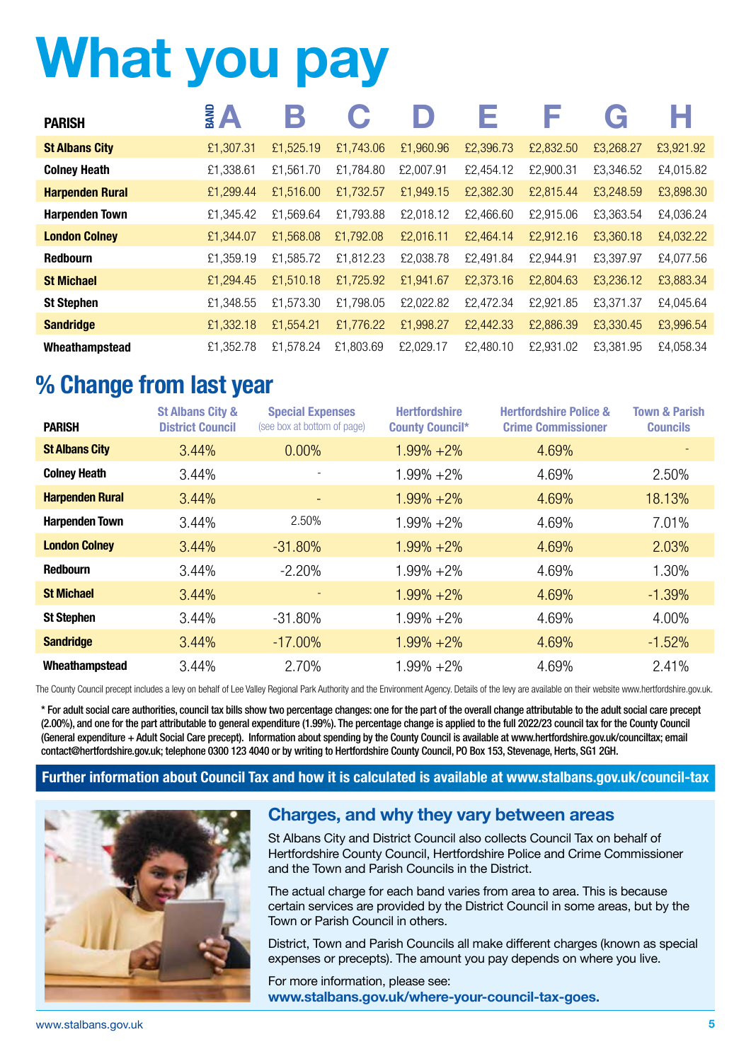## **What you pay**

| <b>PARISH</b>          | Э         |           | G         |           |           |           | G         |           |
|------------------------|-----------|-----------|-----------|-----------|-----------|-----------|-----------|-----------|
| <b>St Albans City</b>  | £1,307.31 | £1,525.19 | £1,743.06 | £1,960.96 | £2,396.73 | £2,832.50 | £3,268.27 | £3,921.92 |
| <b>Colney Heath</b>    | £1,338.61 | £1,561.70 | £1,784.80 | £2,007.91 | £2,454.12 | £2,900.31 | £3,346.52 | £4,015.82 |
| <b>Harpenden Rural</b> | £1,299.44 | £1,516.00 | £1,732.57 | £1,949.15 | £2,382.30 | £2,815.44 | £3,248.59 | £3,898.30 |
| <b>Harpenden Town</b>  | £1,345.42 | £1,569.64 | £1,793.88 | £2,018.12 | £2,466.60 | £2,915.06 | £3,363.54 | £4,036.24 |
| <b>London Colney</b>   | £1,344.07 | £1,568.08 | £1,792.08 | £2,016.11 | £2,464.14 | £2,912.16 | £3,360.18 | £4,032.22 |
| <b>Redbourn</b>        | £1,359.19 | £1,585.72 | £1,812.23 | £2,038.78 | £2,491.84 | £2,944.91 | £3,397.97 | £4,077.56 |
| <b>St Michael</b>      | £1,294.45 | £1,510.18 | £1,725.92 | £1,941.67 | £2,373.16 | £2,804.63 | £3,236.12 | £3,883.34 |
| <b>St Stephen</b>      | £1,348.55 | £1,573.30 | £1,798.05 | £2,022.82 | £2,472.34 | £2,921.85 | £3,371.37 | £4,045.64 |
| <b>Sandridge</b>       | £1,332.18 | £1,554.21 | £1,776.22 | £1,998.27 | £2,442.33 | £2,886.39 | £3,330.45 | £3,996.54 |
| Wheathampstead         | £1,352.78 | £1,578.24 | £1,803.69 | £2,029.17 | £2,480.10 | £2,931.02 | £3,381.95 | £4,058.34 |

## **% Change from last year**

| <b>PARISH</b>          | <b>St Albans City &amp;</b><br><b>District Council</b> | <b>Special Expenses</b><br>(see box at bottom of page) | <b>Hertfordshire</b><br><b>County Council*</b> | <b>Hertfordshire Police &amp;</b><br><b>Crime Commissioner</b> | <b>Town &amp; Parish</b><br><b>Councils</b> |
|------------------------|--------------------------------------------------------|--------------------------------------------------------|------------------------------------------------|----------------------------------------------------------------|---------------------------------------------|
| <b>St Albans City</b>  | 3.44%                                                  | 0.00%                                                  | $1.99\% + 2\%$                                 | 4.69%                                                          |                                             |
| <b>Colney Heath</b>    | 3.44%                                                  |                                                        | $1.99\% + 2\%$                                 | 4.69%                                                          | 2.50%                                       |
| <b>Harpenden Rural</b> | 3.44%                                                  |                                                        | $1.99\% + 2\%$                                 | 4.69%                                                          | 18.13%                                      |
| <b>Harpenden Town</b>  | 3.44%                                                  | 2.50%                                                  | $1.99\% + 2\%$                                 | 4.69%                                                          | 7.01%                                       |
| <b>London Colney</b>   | 3.44%                                                  | $-31.80%$                                              | $1.99\% + 2\%$                                 | 4.69%                                                          | 2.03%                                       |
| <b>Redbourn</b>        | 3.44%                                                  | $-2.20%$                                               | $1.99\% + 2\%$                                 | 4.69%                                                          | 1.30%                                       |
| <b>St Michael</b>      | 3.44%                                                  |                                                        | $1.99\% + 2\%$                                 | 4.69%                                                          | $-1.39%$                                    |
| <b>St Stephen</b>      | 3.44%                                                  | $-31.80%$                                              | $1.99\% + 2\%$                                 | 4.69%                                                          | 4.00%                                       |
| <b>Sandridge</b>       | 3.44%                                                  | $-17.00\%$                                             | $1.99\% + 2\%$                                 | 4.69%                                                          | $-1.52%$                                    |
| Wheathampstead         | 3.44%                                                  | 2.70%                                                  | $1.99\% + 2\%$                                 | 4.69%                                                          | 2.41%                                       |

The County Council precept includes a levy on behalf of Lee Valley Regional Park Authority and the Environment Agency. Details of the levy are available on their website www.hertfordshire.gov.uk.

\* For adult social care authorities, council tax bills show two percentage changes: one for the part of the overall change attributable to the adult social care precept (2.00%), and one for the part attributable to general expenditure (1.99%). The percentage change is applied to the full 2022/23 council tax for the County Council (General expenditure + Adult Social Care precept). Information about spending by the County Council is available at www.hertfordshire.gov.uk/counciltax; email contact@hertfordshire.gov.uk; telephone 0300 123 4040 or by writing to Hertfordshire County Council, PO Box 153, Stevenage, Herts, SG1 2GH.

### **Further information about Council Tax and how it is calculated is available at www.stalbans.gov.uk/council-tax**



### **Charges, and why they vary between areas**

St Albans City and District Council also collects Council Tax on behalf of Hertfordshire County Council, Hertfordshire Police and Crime Commissioner and the Town and Parish Councils in the District.

The actual charge for each band varies from area to area. This is because certain services are provided by the District Council in some areas, but by the Town or Parish Council in others.

District, Town and Parish Councils all make different charges (known as special expenses or precepts). The amount you pay depends on where you live.

For more information, please see: www.stalbans.gov.uk/where-your-council-tax-goes.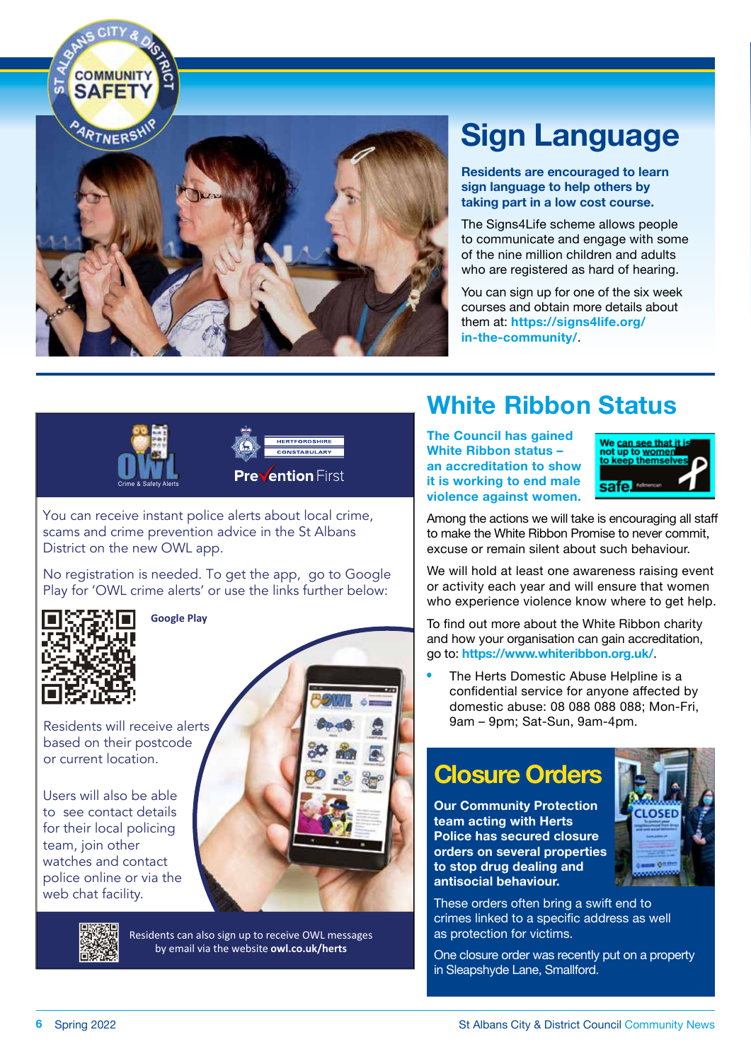

## **Sign Language**

**Residents are encouraged to learn sign language to help others by taking part in a low cost course.**

The Signs4Life scheme allows people to communicate and engage with some of the nine million children and adults who are registered as hard of hearing.

You can sign up for one of the six week courses and obtain more details about them at: **https://signs4life.org/ in-the-community/** .





**Prevention First** 

You can receive instant police alerts about local crime, scams and crime prevention advice in the St Albans District on the new OWL app.

No registration is needed. To get the app, go to Google Play for 'OWL crime alerts' or use the links further below:



**Google Play**

Residents will receive alerts based on their postcode or current location.

Users will also be able to see contact details for their local policing team, join other watches and contact police online or via the web chat facility.



Residents can also sign up to receive OWL messages by email via the website **owl.co.uk/herts**

## **White Ribbon Status**

**The Council has gained White Ribbon status – an accreditation to show it is working to end male violence against women.**



Among the actions we will take is encouraging all staff to make the White Ribbon Promise to never commit, excuse or remain silent about such behaviour.

We will hold at least one awareness raising event or activity each year and will ensure that women who experience violence know where to get help.

To find out more about the White Ribbon charity and how your organisation can gain accreditation, go to: **https://www.whiteribbon.org.uk/** .

• The Herts Domestic Abuse Helpline is a confidential service for anyone affected by domestic abuse: 08 088 088 088; Mon-Fri, 9am – 9pm; Sat-Sun, 9am-4pm.

## **Closure Orders**

**Our Community Protection team acting with Herts Police has secured closure orders on several properties to stop drug dealing and antisocial behaviour.**



These orders often bring a swift end to crimes linked to a specific address as well as protection for victims.

One closure order was recently put on a property in Sleapshyde Lane, Smallford.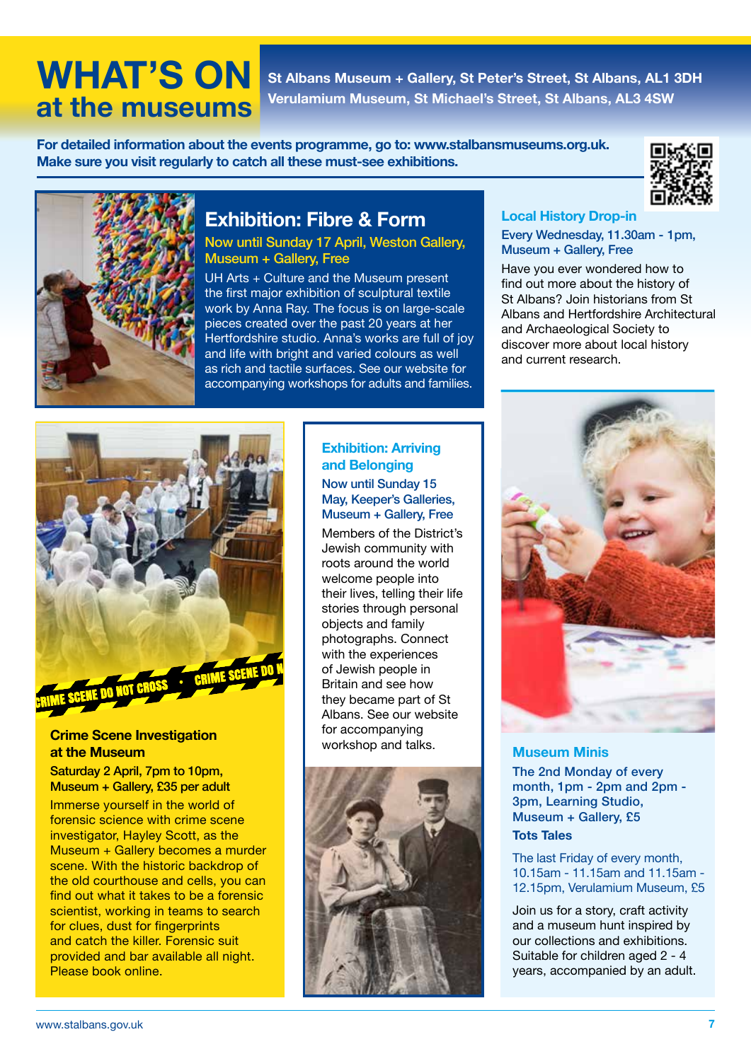## **at the museums**

**WHAT'S ON St Albans Museum + Gallery, St Peter's Street, St Albans, AL1 3DH Verulamium Museum, St Michael's Street, St Albans, AL3 4SW**

**For detailed information about the events programme, go to: www.stalbansmuseums.org.uk. Make sure you visit regularly to catch all these must-see exhibitions.**





### **Exhibition: Fibre & Form**

Now until Sunday 17 April, Weston Gallery, Museum + Gallery, Free

UH Arts + Culture and the Museum present the first major exhibition of sculptural textile work by Anna Ray. The focus is on large-scale pieces created over the past 20 years at her .<br>Hertfordshire studio. Anna's works are full of joy and life with bright and varied colours as well as rich and tactile surfaces. See our website for accompanying workshops for adults and families.



### **Crime Scene Investigation at the Museum**

Saturday 2 April, 7pm to 10pm, Museum + Gallery, £35 per adult

Immerse yourself in the world of forensic science with crime scene investigator, Hayley Scott, as the Museum + Gallery becomes a murder scene. With the historic backdrop of the old courthouse and cells, you can find out what it takes to be a forensic scientist, working in teams to search for clues, dust for fingerprints and catch the killer. Forensic suit provided and bar available all night. Please book online.

### **Exhibition: Arriving and Belonging**

#### Now until Sunday 15 May, Keeper's Galleries, Museum + Gallery, Free

Members of the District's Jewish community with roots around the world welcome people into their lives, telling their life stories through personal objects and family photographs. Connect with the experiences of Jewish people in Britain and see how they became part of St Albans. See our website for accompanying workshop and talks.



### **Local History Drop-in**  Every Wednesday, 11.30am - 1pm, Museum + Gallery, Free

Have you ever wondered how to find out more about the history of St Albans? Join historians from St Albans and Hertfordshire Architectural and Archaeological Society to discover more about local history and current research.



**Museum Minis**  The 2nd Monday of every month, 1pm - 2pm and 2pm - 3pm, Learning Studio, Museum + Gallery, £5 **Tots Tales**

The last Friday of every month, 10.15am - 11.15am and 11.15am - 12.15pm, Verulamium Museum, £5

Join us for a story, craft activity and a museum hunt inspired by our collections and exhibitions. Suitable for children aged 2 - 4 years, accompanied by an adult.